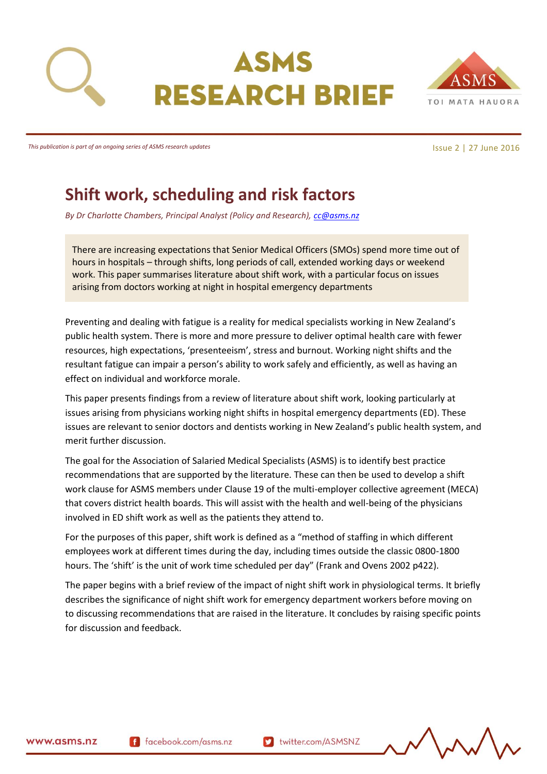



*This publication is part of an ongoing series of ASMS research updates*

Issue 2 | 27 June 2016

# **Shift work, scheduling and risk factors**

*By Dr Charlotte Chambers, Principal Analyst (Policy and Research), [cc@asms.nz](mailto:cc@asms.nz)*

There are increasing expectations that Senior Medical Officers (SMOs) spend more time out of hours in hospitals – through shifts, long periods of call, extended working days or weekend work. This paper summarises literature about shift work, with a particular focus on issues arising from doctors working at night in hospital emergency departments

Preventing and dealing with fatigue is a reality for medical specialists working in New Zealand's public health system. There is more and more pressure to deliver optimal health care with fewer resources, high expectations, 'presenteeism', stress and burnout. Working night shifts and the resultant fatigue can impair a person's ability to work safely and efficiently, as well as having an effect on individual and workforce morale.

This paper presents findings from a review of literature about shift work, looking particularly at issues arising from physicians working night shifts in hospital emergency departments (ED). These issues are relevant to senior doctors and dentists working in New Zealand's public health system, and merit further discussion.

The goal for the Association of Salaried Medical Specialists (ASMS) is to identify best practice recommendations that are supported by the literature. These can then be used to develop a shift work clause for ASMS members under Clause 19 of the multi-employer collective agreement (MECA) that covers district health boards. This will assist with the health and well-being of the physicians involved in ED shift work as well as the patients they attend to.

For the purposes of this paper, shift work is defined as a "method of staffing in which different employees work at different times during the day, including times outside the classic 0800-1800 hours. The 'shift' is the unit of work time scheduled per day" (Frank and Ovens 2002 p422).

The paper begins with a brief review of the impact of night shift work in physiological terms. It briefly describes the significance of night shift work for emergency department workers before moving on to discussing recommendations that are raised in the literature. It concludes by raising specific points for discussion and feedback.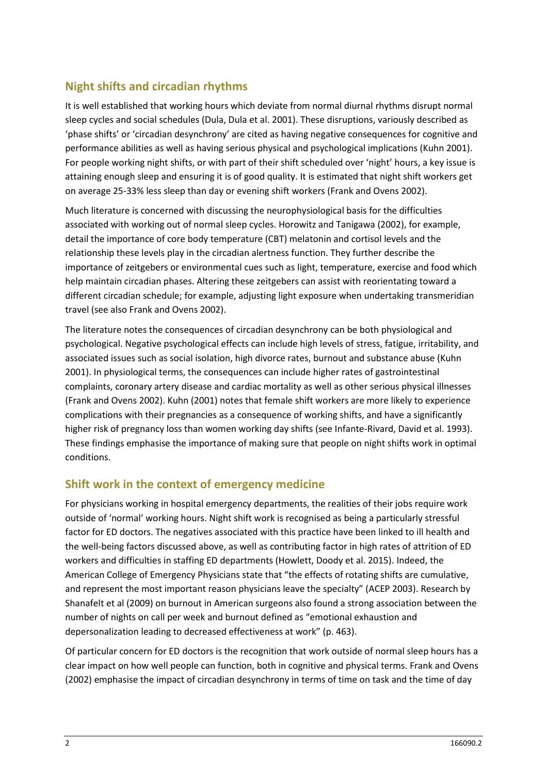# **Night shifts and circadian rhythms**

It is well established that working hours which deviate from normal diurnal rhythms disrupt normal sleep cycles and social schedules (Dula, Dula et al. 2001). These disruptions, variously described as 'phase shifts' or 'circadian desynchrony' are cited as having negative consequences for cognitive and performance abilities as well as having serious physical and psychological implications (Kuhn 2001). For people working night shifts, or with part of their shift scheduled over 'night' hours, a key issue is attaining enough sleep and ensuring it is of good quality. It is estimated that night shift workers get on average 25-33% less sleep than day or evening shift workers (Frank and Ovens 2002).

Much literature is concerned with discussing the neurophysiological basis for the difficulties associated with working out of normal sleep cycles. Horowitz and Tanigawa (2002), for example, detail the importance of core body temperature (CBT) melatonin and cortisol levels and the relationship these levels play in the circadian alertness function. They further describe the importance of zeitgebers or environmental cues such as light, temperature, exercise and food which help maintain circadian phases. Altering these zeitgebers can assist with reorientating toward a different circadian schedule; for example, adjusting light exposure when undertaking transmeridian travel (see also Frank and Ovens 2002).

The literature notes the consequences of circadian desynchrony can be both physiological and psychological. Negative psychological effects can include high levels of stress, fatigue, irritability, and associated issues such as social isolation, high divorce rates, burnout and substance abuse (Kuhn 2001). In physiological terms, the consequences can include higher rates of gastrointestinal complaints, coronary artery disease and cardiac mortality as well as other serious physical illnesses (Frank and Ovens 2002). Kuhn (2001) notes that female shift workers are more likely to experience complications with their pregnancies as a consequence of working shifts, and have a significantly higher risk of pregnancy loss than women working day shifts (see Infante-Rivard, David et al. 1993). These findings emphasise the importance of making sure that people on night shifts work in optimal conditions.

#### **Shift work in the context of emergency medicine**

For physicians working in hospital emergency departments, the realities of their jobs require work outside of 'normal' working hours. Night shift work is recognised as being a particularly stressful factor for ED doctors. The negatives associated with this practice have been linked to ill health and the well-being factors discussed above, as well as contributing factor in high rates of attrition of ED workers and difficulties in staffing ED departments (Howlett, Doody et al. 2015). Indeed, the American College of Emergency Physicians state that "the effects of rotating shifts are cumulative, and represent the most important reason physicians leave the specialty" (ACEP 2003). Research by Shanafelt et al (2009) on burnout in American surgeons also found a strong association between the number of nights on call per week and burnout defined as "emotional exhaustion and depersonalization leading to decreased effectiveness at work" (p. 463).

Of particular concern for ED doctors is the recognition that work outside of normal sleep hours has a clear impact on how well people can function, both in cognitive and physical terms. Frank and Ovens (2002) emphasise the impact of circadian desynchrony in terms of time on task and the time of day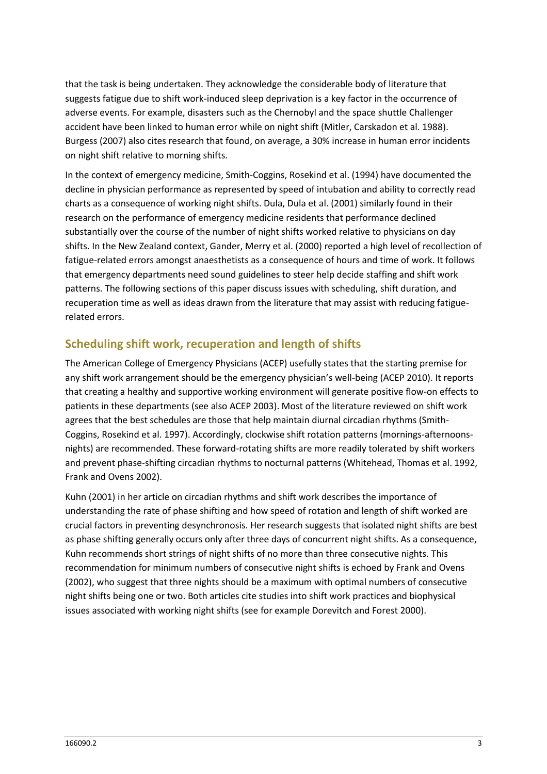that the task is being undertaken. They acknowledge the considerable body of literature that suggests fatigue due to shift work-induced sleep deprivation is a key factor in the occurrence of adverse events. For example, disasters such as the Chernobyl and the space shuttle Challenger accident have been linked to human error while on night shift (Mitler, Carskadon et al. 1988). Burgess (2007) also cites research that found, on average, a 30% increase in human error incidents on night shift relative to morning shifts.

In the context of emergency medicine, Smith-Coggins, Rosekind et al. (1994) have documented the decline in physician performance as represented by speed of intubation and ability to correctly read charts as a consequence of working night shifts. Dula, Dula et al. (2001) similarly found in their research on the performance of emergency medicine residents that performance declined substantially over the course of the number of night shifts worked relative to physicians on day shifts. In the New Zealand context, Gander, Merry et al. (2000) reported a high level of recollection of fatigue-related errors amongst anaesthetists as a consequence of hours and time of work. It follows that emergency departments need sound guidelines to steer help decide staffing and shift work patterns. The following sections of this paper discuss issues with scheduling, shift duration, and recuperation time as well as ideas drawn from the literature that may assist with reducing fatiguerelated errors.

### **Scheduling shift work, recuperation and length of shifts**

The American College of Emergency Physicians (ACEP) usefully states that the starting premise for any shift work arrangement should be the emergency physician's well-being (ACEP 2010). It reports that creating a healthy and supportive working environment will generate positive flow-on effects to patients in these departments (see also ACEP 2003). Most of the literature reviewed on shift work agrees that the best schedules are those that help maintain diurnal circadian rhythms (Smith-Coggins, Rosekind et al. 1997). Accordingly, clockwise shift rotation patterns (mornings-afternoonsnights) are recommended. These forward-rotating shifts are more readily tolerated by shift workers and prevent phase-shifting circadian rhythms to nocturnal patterns (Whitehead, Thomas et al. 1992, Frank and Ovens 2002).

Kuhn (2001) in her article on circadian rhythms and shift work describes the importance of understanding the rate of phase shifting and how speed of rotation and length of shift worked are crucial factors in preventing desynchronosis. Her research suggests that isolated night shifts are best as phase shifting generally occurs only after three days of concurrent night shifts. As a consequence, Kuhn recommends short strings of night shifts of no more than three consecutive nights. This recommendation for minimum numbers of consecutive night shifts is echoed by Frank and Ovens (2002), who suggest that three nights should be a maximum with optimal numbers of consecutive night shifts being one or two. Both articles cite studies into shift work practices and biophysical issues associated with working night shifts (see for example Dorevitch and Forest 2000).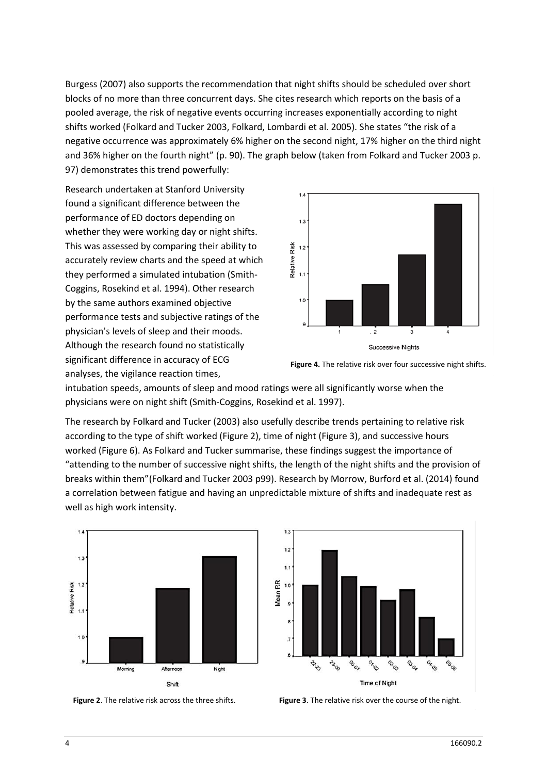Burgess (2007) also supports the recommendation that night shifts should be scheduled over short blocks of no more than three concurrent days. She cites research which reports on the basis of a pooled average, the risk of negative events occurring increases exponentially according to night shifts worked (Folkard and Tucker 2003, Folkard, Lombardi et al. 2005). She states "the risk of a negative occurrence was approximately 6% higher on the second night, 17% higher on the third night and 36% higher on the fourth night" (p. 90). The graph below (taken from Folkard and Tucker 2003 p. 97) demonstrates this trend powerfully:

Research undertaken at Stanford University found a significant difference between the performance of ED doctors depending on whether they were working day or night shifts. This was assessed by comparing their ability to accurately review charts and the speed at which they performed a simulated intubation (Smith-Coggins, Rosekind et al. 1994). Other research by the same authors examined objective performance tests and subjective ratings of the physician's levels of sleep and their moods. Although the research found no statistically significant difference in accuracy of ECG analyses, the vigilance reaction times,



**Figure 4.** The relative risk over four successive night shifts.

intubation speeds, amounts of sleep and mood ratings were all significantly worse when the physicians were on night shift (Smith-Coggins, Rosekind et al. 1997).

The research by Folkard and Tucker (2003) also usefully describe trends pertaining to relative risk according to the type of shift worked (Figure 2), time of night (Figure 3), and successive hours worked (Figure 6). As Folkard and Tucker summarise, these findings suggest the importance of "attending to the number of successive night shifts, the length of the night shifts and the provision of breaks within them"(Folkard and Tucker 2003 p99). Research by Morrow, Burford et al. (2014) found a correlation between fatigue and having an unpredictable mixture of shifts and inadequate rest as well as high work intensity.





**Figure 2**. The relative risk across the three shifts. **Figure 3**. The relative risk over the course of the night.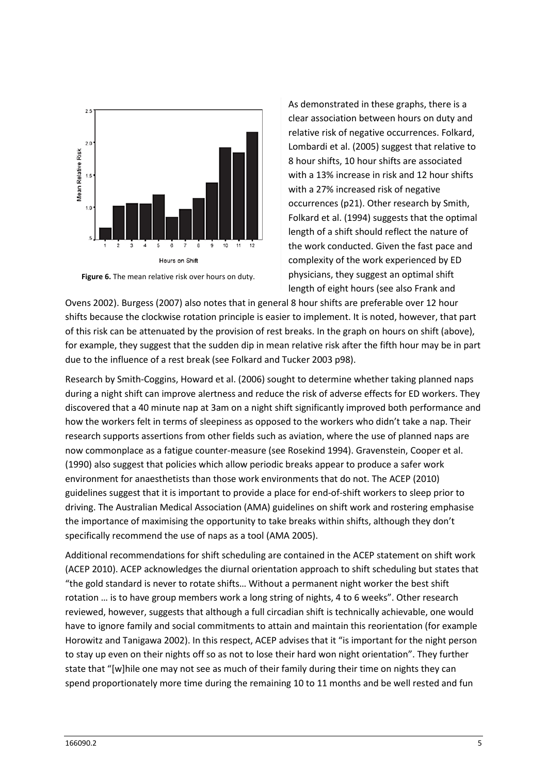

**Figure 6.** The mean relative risk over hours on duty.

As demonstrated in these graphs, there is a clear association between hours on duty and relative risk of negative occurrences. Folkard, Lombardi et al. (2005) suggest that relative to 8 hour shifts, 10 hour shifts are associated with a 13% increase in risk and 12 hour shifts with a 27% increased risk of negative occurrences (p21). Other research by Smith, Folkard et al. (1994) suggests that the optimal length of a shift should reflect the nature of the work conducted. Given the fast pace and complexity of the work experienced by ED physicians, they suggest an optimal shift length of eight hours (see also Frank and

Ovens 2002). Burgess (2007) also notes that in general 8 hour shifts are preferable over 12 hour shifts because the clockwise rotation principle is easier to implement. It is noted, however, that part of this risk can be attenuated by the provision of rest breaks. In the graph on hours on shift (above), for example, they suggest that the sudden dip in mean relative risk after the fifth hour may be in part due to the influence of a rest break (see Folkard and Tucker 2003 p98).

Research by Smith-Coggins, Howard et al. (2006) sought to determine whether taking planned naps during a night shift can improve alertness and reduce the risk of adverse effects for ED workers. They discovered that a 40 minute nap at 3am on a night shift significantly improved both performance and how the workers felt in terms of sleepiness as opposed to the workers who didn't take a nap. Their research supports assertions from other fields such as aviation, where the use of planned naps are now commonplace as a fatigue counter-measure (see Rosekind 1994). Gravenstein, Cooper et al. (1990) also suggest that policies which allow periodic breaks appear to produce a safer work environment for anaesthetists than those work environments that do not. The ACEP (2010) guidelines suggest that it is important to provide a place for end-of-shift workers to sleep prior to driving. The Australian Medical Association (AMA) guidelines on shift work and rostering emphasise the importance of maximising the opportunity to take breaks within shifts, although they don't specifically recommend the use of naps as a tool (AMA 2005).

Additional recommendations for shift scheduling are contained in the ACEP statement on shift work (ACEP 2010). ACEP acknowledges the diurnal orientation approach to shift scheduling but states that "the gold standard is never to rotate shifts… Without a permanent night worker the best shift rotation … is to have group members work a long string of nights, 4 to 6 weeks". Other research reviewed, however, suggests that although a full circadian shift is technically achievable, one would have to ignore family and social commitments to attain and maintain this reorientation (for example Horowitz and Tanigawa 2002). In this respect, ACEP advises that it "is important for the night person to stay up even on their nights off so as not to lose their hard won night orientation". They further state that "[w]hile one may not see as much of their family during their time on nights they can spend proportionately more time during the remaining 10 to 11 months and be well rested and fun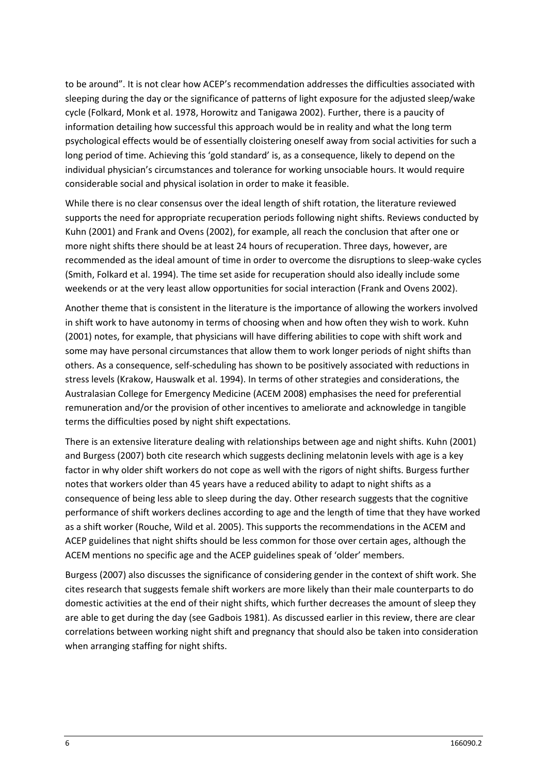to be around". It is not clear how ACEP's recommendation addresses the difficulties associated with sleeping during the day or the significance of patterns of light exposure for the adjusted sleep/wake cycle (Folkard, Monk et al. 1978, Horowitz and Tanigawa 2002). Further, there is a paucity of information detailing how successful this approach would be in reality and what the long term psychological effects would be of essentially cloistering oneself away from social activities for such a long period of time. Achieving this 'gold standard' is, as a consequence, likely to depend on the individual physician's circumstances and tolerance for working unsociable hours. It would require considerable social and physical isolation in order to make it feasible.

While there is no clear consensus over the ideal length of shift rotation, the literature reviewed supports the need for appropriate recuperation periods following night shifts. Reviews conducted by Kuhn (2001) and Frank and Ovens (2002), for example, all reach the conclusion that after one or more night shifts there should be at least 24 hours of recuperation. Three days, however, are recommended as the ideal amount of time in order to overcome the disruptions to sleep-wake cycles (Smith, Folkard et al. 1994). The time set aside for recuperation should also ideally include some weekends or at the very least allow opportunities for social interaction (Frank and Ovens 2002).

Another theme that is consistent in the literature is the importance of allowing the workers involved in shift work to have autonomy in terms of choosing when and how often they wish to work. Kuhn (2001) notes, for example, that physicians will have differing abilities to cope with shift work and some may have personal circumstances that allow them to work longer periods of night shifts than others. As a consequence, self-scheduling has shown to be positively associated with reductions in stress levels (Krakow, Hauswalk et al. 1994). In terms of other strategies and considerations, the Australasian College for Emergency Medicine (ACEM 2008) emphasises the need for preferential remuneration and/or the provision of other incentives to ameliorate and acknowledge in tangible terms the difficulties posed by night shift expectations.

There is an extensive literature dealing with relationships between age and night shifts. Kuhn (2001) and Burgess (2007) both cite research which suggests declining melatonin levels with age is a key factor in why older shift workers do not cope as well with the rigors of night shifts. Burgess further notes that workers older than 45 years have a reduced ability to adapt to night shifts as a consequence of being less able to sleep during the day. Other research suggests that the cognitive performance of shift workers declines according to age and the length of time that they have worked as a shift worker (Rouche, Wild et al. 2005). This supports the recommendations in the ACEM and ACEP guidelines that night shifts should be less common for those over certain ages, although the ACEM mentions no specific age and the ACEP guidelines speak of 'older' members.

Burgess (2007) also discusses the significance of considering gender in the context of shift work. She cites research that suggests female shift workers are more likely than their male counterparts to do domestic activities at the end of their night shifts, which further decreases the amount of sleep they are able to get during the day (see Gadbois 1981). As discussed earlier in this review, there are clear correlations between working night shift and pregnancy that should also be taken into consideration when arranging staffing for night shifts.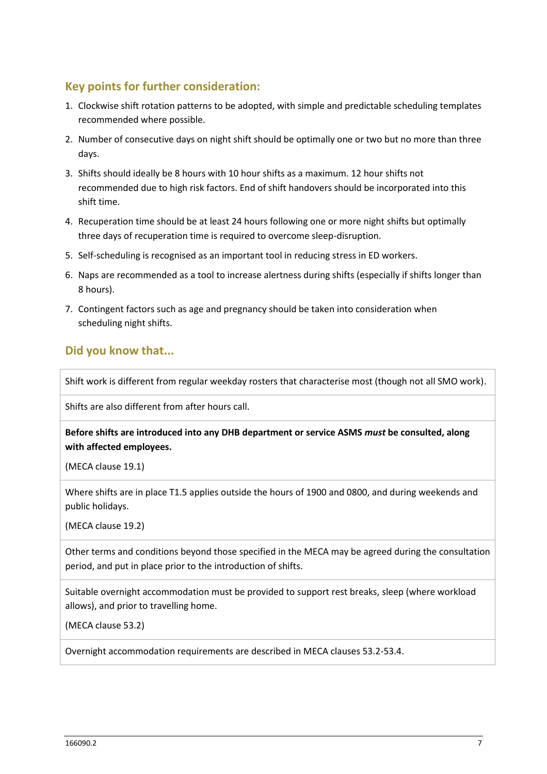## **Key points for further consideration:**

- 1. Clockwise shift rotation patterns to be adopted, with simple and predictable scheduling templates recommended where possible.
- 2. Number of consecutive days on night shift should be optimally one or two but no more than three days.
- 3. Shifts should ideally be 8 hours with 10 hour shifts as a maximum. 12 hour shifts not recommended due to high risk factors. End of shift handovers should be incorporated into this shift time.
- 4. Recuperation time should be at least 24 hours following one or more night shifts but optimally three days of recuperation time is required to overcome sleep-disruption.
- 5. Self-scheduling is recognised as an important tool in reducing stress in ED workers.
- 6. Naps are recommended as a tool to increase alertness during shifts (especially if shifts longer than 8 hours).
- 7. Contingent factors such as age and pregnancy should be taken into consideration when scheduling night shifts.

### **Did you know that...**

Shift work is different from regular weekday rosters that characterise most (though not all SMO work).

Shifts are also different from after hours call.

**Before shifts are introduced into any DHB department or service ASMS** *must* **be consulted, along with affected employees.**

(MECA clause 19.1)

Where shifts are in place T1.5 applies outside the hours of 1900 and 0800, and during weekends and public holidays.

(MECA clause 19.2)

Other terms and conditions beyond those specified in the MECA may be agreed during the consultation period, and put in place prior to the introduction of shifts.

Suitable overnight accommodation must be provided to support rest breaks, sleep (where workload allows), and prior to travelling home.

(MECA clause 53.2)

Overnight accommodation requirements are described in MECA clauses 53.2-53.4.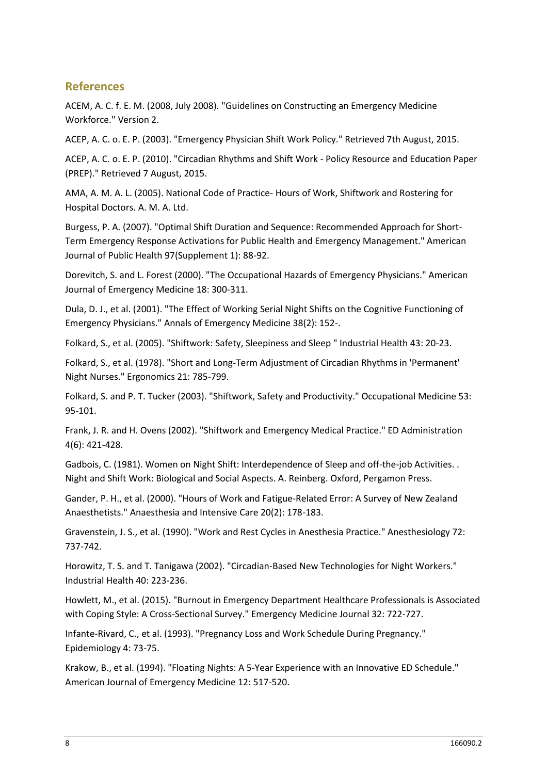#### **References**

ACEM, A. C. f. E. M. (2008, July 2008). "Guidelines on Constructing an Emergency Medicine Workforce." Version 2.

ACEP, A. C. o. E. P. (2003). "Emergency Physician Shift Work Policy." Retrieved 7th August, 2015.

ACEP, A. C. o. E. P. (2010). "Circadian Rhythms and Shift Work - Policy Resource and Education Paper (PREP)." Retrieved 7 August, 2015.

AMA, A. M. A. L. (2005). National Code of Practice- Hours of Work, Shiftwork and Rostering for Hospital Doctors. A. M. A. Ltd.

Burgess, P. A. (2007). "Optimal Shift Duration and Sequence: Recommended Approach for Short-Term Emergency Response Activations for Public Health and Emergency Management." American Journal of Public Health 97(Supplement 1): 88-92.

Dorevitch, S. and L. Forest (2000). "The Occupational Hazards of Emergency Physicians." American Journal of Emergency Medicine 18: 300-311.

Dula, D. J., et al. (2001). "The Effect of Working Serial Night Shifts on the Cognitive Functioning of Emergency Physicians." Annals of Emergency Medicine 38(2): 152-.

Folkard, S., et al. (2005). "Shiftwork: Safety, Sleepiness and Sleep " Industrial Health 43: 20-23.

Folkard, S., et al. (1978). "Short and Long-Term Adjustment of Circadian Rhythms in 'Permanent' Night Nurses." Ergonomics 21: 785-799.

Folkard, S. and P. T. Tucker (2003). "Shiftwork, Safety and Productivity." Occupational Medicine 53: 95-101.

Frank, J. R. and H. Ovens (2002). "Shiftwork and Emergency Medical Practice." ED Administration 4(6): 421-428.

Gadbois, C. (1981). Women on Night Shift: Interdependence of Sleep and off-the-job Activities. . Night and Shift Work: Biological and Social Aspects. A. Reinberg. Oxford, Pergamon Press.

Gander, P. H., et al. (2000). "Hours of Work and Fatigue-Related Error: A Survey of New Zealand Anaesthetists." Anaesthesia and Intensive Care 20(2): 178-183.

Gravenstein, J. S., et al. (1990). "Work and Rest Cycles in Anesthesia Practice." Anesthesiology 72: 737-742.

Horowitz, T. S. and T. Tanigawa (2002). "Circadian-Based New Technologies for Night Workers." Industrial Health 40: 223-236.

Howlett, M., et al. (2015). "Burnout in Emergency Department Healthcare Professionals is Associated with Coping Style: A Cross-Sectional Survey." Emergency Medicine Journal 32: 722-727.

Infante-Rivard, C., et al. (1993). "Pregnancy Loss and Work Schedule During Pregnancy." Epidemiology 4: 73-75.

Krakow, B., et al. (1994). "Floating Nights: A 5-Year Experience with an Innovative ED Schedule." American Journal of Emergency Medicine 12: 517-520.